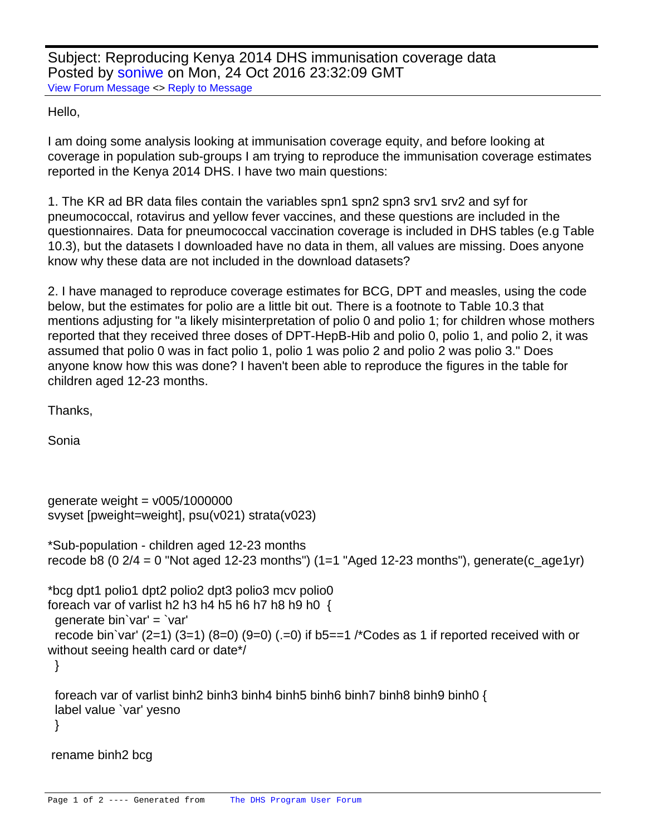Subject: Reproducing Kenya 2014 DHS immunisation coverage data Posted by [soniwe](https://userforum.dhsprogram.com/index.php?t=usrinfo&id=4400) on Mon, 24 Oct 2016 23:32:09 GMT [View Forum Message](https://userforum.dhsprogram.com/index.php?t=rview&th=5601&goto=11077#msg_11077) <> [Reply to Message](https://userforum.dhsprogram.com/index.php?t=post&reply_to=11077)

## Hello,

I am doing some analysis looking at immunisation coverage equity, and before looking at coverage in population sub-groups I am trying to reproduce the immunisation coverage estimates reported in the Kenya 2014 DHS. I have two main questions:

1. The KR ad BR data files contain the variables spn1 spn2 spn3 srv1 srv2 and syf for pneumococcal, rotavirus and yellow fever vaccines, and these questions are included in the questionnaires. Data for pneumococcal vaccination coverage is included in DHS tables (e.g Table 10.3), but the datasets I downloaded have no data in them, all values are missing. Does anyone know why these data are not included in the download datasets?

2. I have managed to reproduce coverage estimates for BCG, DPT and measles, using the code below, but the estimates for polio are a little bit out. There is a footnote to Table 10.3 that mentions adjusting for "a likely misinterpretation of polio 0 and polio 1; for children whose mothers reported that they received three doses of DPT-HepB-Hib and polio 0, polio 1, and polio 2, it was assumed that polio 0 was in fact polio 1, polio 1 was polio 2 and polio 2 was polio 3." Does anyone know how this was done? I haven't been able to reproduce the figures in the table for children aged 12-23 months.

Thanks,

Sonia

```
generate weight = v005/1000000svyset [pweight=weight], psu(v021) strata(v023)
*Sub-population - children aged 12-23 months
recode b8 (0 2/4 = 0 "Not aged 12-23 months") (1=1 "Aged 12-23 months"), generate(c_age1yr)
*bcg dpt1 polio1 dpt2 polio2 dpt3 polio3 mcv polio0
foreach var of varlist h2 h3 h4 h5 h6 h7 h8 h9 h0 \{ generate bin`var' = `var'
 recode bin`var' (2=1) (3=1) (8=0) (9=0) (.=0) if b5==1 /*Codes as 1 if reported received with or
without seeing health card or date*/
  }
  foreach var of varlist binh2 binh3 binh4 binh5 binh6 binh7 binh8 binh9 binh0 {
  label value `var' yesno
  }
 rename binh2 bcg
```